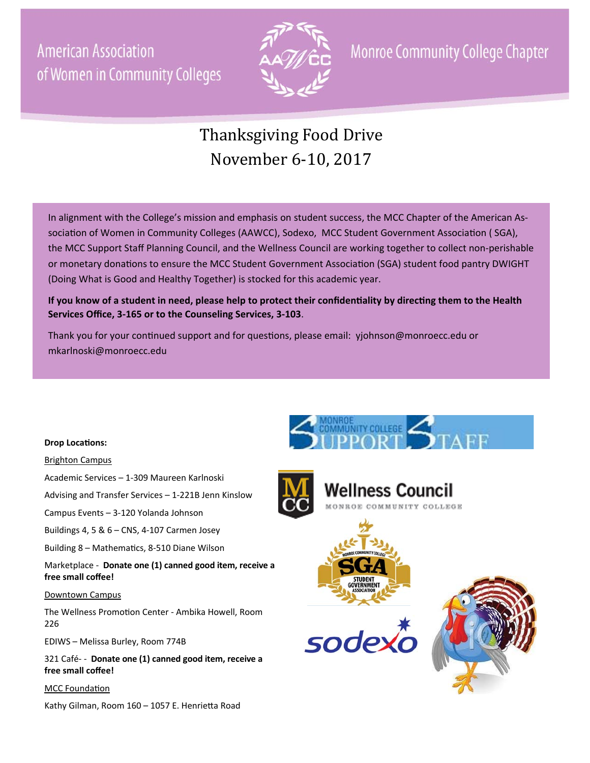**American Association** of Women in Community Colleges



**Monroe Community College Chapter** 

# Thanksgiving Food Drive November 6-10, 2017

In alignment with the College's mission and emphasis on student success, the MCC Chapter of the American Association of Women in Community Colleges (AAWCC), Sodexo, MCC Student Government Association ( SGA), the MCC Support Staff Planning Council, and the Wellness Council are working together to collect non-perishable or monetary donations to ensure the MCC Student Government Association (SGA) student food pantry DWIGHT (Doing What is Good and Healthy Together) is stocked for this academic year.

**If you know of a student in need, please help to protect their confidenƟality by direcƟng them to the Health Services Office, 3‐165 or to the Counseling Services, 3‐103**.

Thank you for your continued support and for questions, please email: yjohnson@monroecc.edu or mkarlnoski@monroecc.edu

### **Drop LocaƟons:**

#### Brighton Campus

Academic Services – 1-309 Maureen Karlnoski

Advising and Transfer Services – 1-221B Jenn Kinslow

Campus Events – 3-120 Yolanda Johnson

Buildings 4, 5 & 6 – CNS, 4-107 Carmen Josey

Building 8 – Mathematics, 8-510 Diane Wilson

Marketplace - **Donate one (1) canned good item, receive a**  free small coffee!

### Downtown Campus

The Wellness Promotion Center - Ambika Howell, Room 226

EDIWS – Melissa Burley, Room 774B

321 Café- - **Donate one (1) canned good item, receive a free small coffee!** 

### MCC Foundation

Kathy Gilman, Room 160 - 1057 E. Henrietta Road





'ellness Council



sodexc